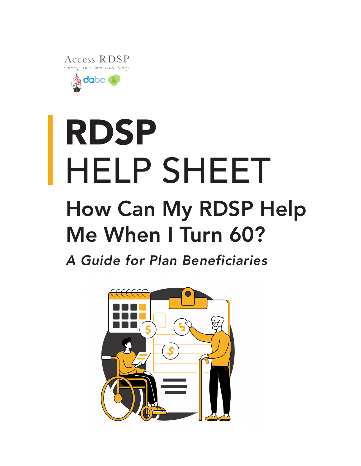Access RDSP Change your tomorrow today

dabo

# RDSP HELP SHEET How Can My RDSP Help Me When I Turn 60?

*A Guide for Plan Beneficiaries*

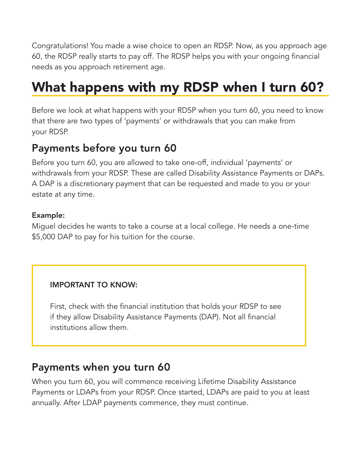Congratulations! You made a wise choice to open an RDSP. Now, as you approach age 60, the RDSP really starts to pay off. The RDSP helps you with your ongoing financial needs as you approach retirement age.

# What happens with my RDSP when I turn 60?

Before we look at what happens with your RDSP when you turn 60, you need to know that there are two types of 'payments' or withdrawals that you can make from your RDSP.

### Payments before you turn 60

Before you turn 60, you are allowed to take one-off, individual 'payments' or withdrawals from your RDSP. These are called Disability Assistance Payments or DAPs. A DAP is a discretionary payment that can be requested and made to you or your estate at any time.

#### Example:

Miguel decides he wants to take a course at a local college. He needs a one-time \$5,000 DAP to pay for his tuition for the course.

#### IMPORTANT TO KNOW:

First, check with the financial institution that holds your RDSP to see if they allow Disability Assistance Payments (DAP). Not all financial institutions allow them.

### Payments when you turn 60

When you turn 60, you will commence receiving Lifetime Disability Assistance Payments or LDAPs from your RDSP. Once started, LDAPs are paid to you at least annually. After LDAP payments commence, they must continue.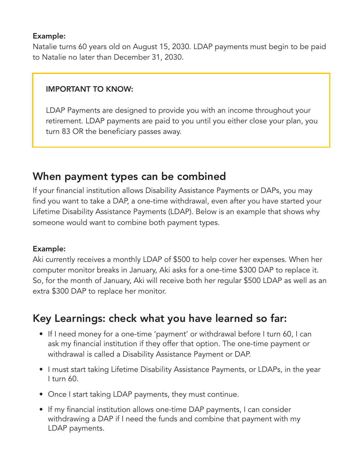#### Example:

Natalie turns 60 years old on August 15, 2030. LDAP payments must begin to be paid to Natalie no later than December 31, 2030.

#### IMPORTANT TO KNOW:

LDAP Payments are designed to provide you with an income throughout your retirement. LDAP payments are paid to you until you either close your plan, you turn 83 OR the beneficiary passes away.

### When payment types can be combined

If your financial institution allows Disability Assistance Payments or DAPs, you may find you want to take a DAP, a one-time withdrawal, even after you have started your Lifetime Disability Assistance Payments (LDAP). Below is an example that shows why someone would want to combine both payment types.

#### Example:

Aki currently receives a monthly LDAP of \$500 to help cover her expenses. When her computer monitor breaks in January, Aki asks for a one-time \$300 DAP to replace it. So, for the month of January, Aki will receive both her regular \$500 LDAP as well as an extra \$300 DAP to replace her monitor.

### Key Learnings: check what you have learned so far:

- If I need money for a one-time 'payment' or withdrawal before I turn 60, I can ask my financial institution if they offer that option. The one-time payment or withdrawal is called a Disability Assistance Payment or DAP.
- I must start taking Lifetime Disability Assistance Payments, or LDAPs, in the year I turn 60.
- Once I start taking LDAP payments, they must continue.
- If my financial institution allows one-time DAP payments, I can consider withdrawing a DAP if I need the funds and combine that payment with my LDAP payments.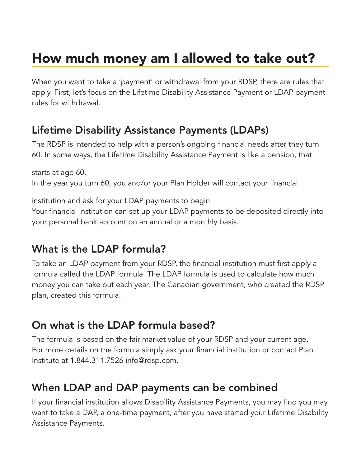# How much money am I allowed to take out?

When you want to take a 'payment' or withdrawal from your RDSP, there are rules that apply. First, let's focus on the Lifetime Disability Assistance Payment or LDAP payment rules for withdrawal.

# Lifetime Disability Assistance Payments (LDAPs)

The RDSP is intended to help with a person's ongoing financial needs after they turn 60. In some ways, the Lifetime Disability Assistance Payment is like a pension, that

starts at age 60. In the year you turn 60, you and/or your Plan Holder will contact your financial

institution and ask for your LDAP payments to begin.

Your financial institution can set up your LDAP payments to be deposited directly into your personal bank account on an annual or a monthly basis.

# What is the LDAP formula?

To take an LDAP payment from your RDSP, the financial institution must first apply a formula called the LDAP formula. The LDAP formula is used to calculate how much money you can take out each year. The Canadian government, who created the RDSP plan, created this formula.

# On what is the LDAP formula based?

The formula is based on the fair market value of your RDSP and your current age. For more details on the formula simply ask your financial institution or contact Plan Institute at 1.844.311.7526 info@rdsp.com.

# When LDAP and DAP payments can be combined

If your financial institution allows Disability Assistance Payments, you may find you may want to take a DAP, a one-time payment, after you have started your Lifetime Disability Assistance Payments.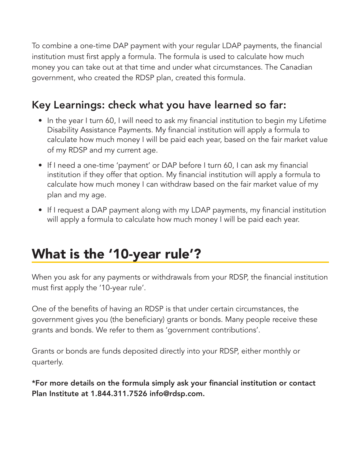To combine a one-time DAP payment with your regular LDAP payments, the financial institution must first apply a formula. The formula is used to calculate how much money you can take out at that time and under what circumstances. The Canadian government, who created the RDSP plan, created this formula.

# Key Learnings: check what you have learned so far:

- In the year I turn 60, I will need to ask my financial institution to begin my Lifetime Disability Assistance Payments. My financial institution will apply a formula to calculate how much money I will be paid each year, based on the fair market value of my RDSP and my current age.
- If I need a one-time 'payment' or DAP before I turn 60, I can ask my financial institution if they offer that option. My financial institution will apply a formula to calculate how much money I can withdraw based on the fair market value of my plan and my age.
- If I request a DAP payment along with my LDAP payments, my financial institution will apply a formula to calculate how much money I will be paid each year.

# What is the '10-year rule'?

When you ask for any payments or withdrawals from your RDSP, the financial institution must first apply the '10-year rule'.

One of the benefits of having an RDSP is that under certain circumstances, the government gives you (the beneficiary) grants or bonds. Many people receive these grants and bonds. We refer to them as 'government contributions'.

Grants or bonds are funds deposited directly into your RDSP, either monthly or quarterly.

\*For more details on the formula simply ask your financial institution or contact Plan Institute at 1.844.311.7526 info@rdsp.com.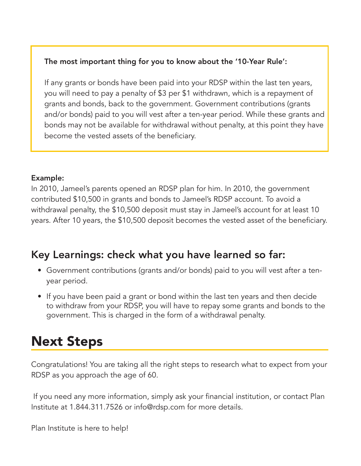#### The most important thing for you to know about the '10-Year Rule':

If any grants or bonds have been paid into your RDSP within the last ten years, you will need to pay a penalty of \$3 per \$1 withdrawn, which is a repayment of grants and bonds, back to the government. Government contributions (grants and/or bonds) paid to you will vest after a ten-year period. While these grants and bonds may not be available for withdrawal without penalty, at this point they have become the vested assets of the beneficiary.

#### Example:

In 2010, Jameel's parents opened an RDSP plan for him. In 2010, the government contributed \$10,500 in grants and bonds to Jameel's RDSP account. To avoid a withdrawal penalty, the \$10,500 deposit must stay in Jameel's account for at least 10 years. After 10 years, the \$10,500 deposit becomes the vested asset of the beneficiary.

### Key Learnings: check what you have learned so far:

- Government contributions (grants and/or bonds) paid to you will vest after a tenyear period.
- If you have been paid a grant or bond within the last ten years and then decide to withdraw from your RDSP, you will have to repay some grants and bonds to the government. This is charged in the form of a withdrawal penalty.

# Next Steps

Congratulations! You are taking all the right steps to research what to expect from your RDSP as you approach the age of 60.

 If you need any more information, simply ask your financial institution, or contact Plan Institute at 1.844.311.7526 or info@rdsp.com for more details.

Plan Institute is here to help!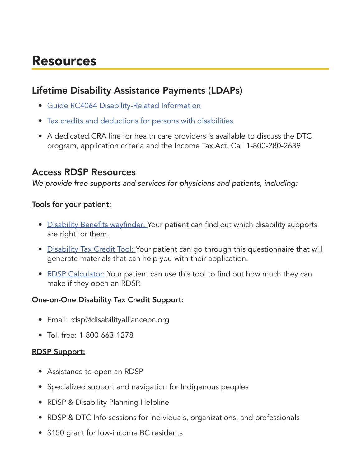# Resources

#### Lifetime Disability Assistance Payments (LDAPs)

- Guide RC4064 Disability-Related Information
- Tax credits and deductions for persons with disabilities
- A dedicated CRA line for health care providers is available to discuss the DTC program, application criteria and the Income Tax Act. Call 1-800-280-2639

#### Access RDSP Resources

*We provide free supports and services for physicians and patients, including:*

#### Tools for your patient:

- Disability Benefits wayfinder: Your patient can find out which disability supports are right for them.
- Disability Tax Credit Tool: Your patient can go through this questionnaire that will generate materials that can help you with their application.
- RDSP Calculator: Your patient can use this tool to find out how much they can make if they open an RDSP.

#### One-on-One Disability Tax Credit Support:

- Email: rdsp@disabilityalliancebc.org
- Toll-free: 1-800-663-1278

#### RDSP Support:

- Assistance to open an RDSP
- Specialized support and navigation for Indigenous peoples
- RDSP & Disability Planning Helpline
- RDSP & DTC Info sessions for individuals, organizations, and professionals
- \$150 grant for low-income BC residents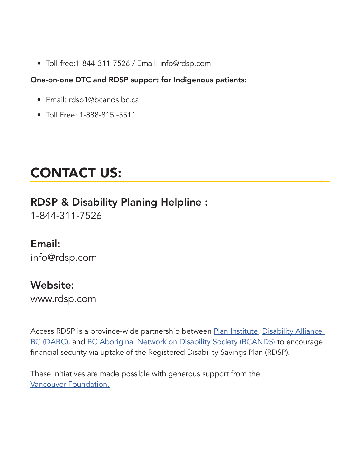• Toll-free:1-844-311-7526 / Email: info@rdsp.com

#### One-on-one DTC and RDSP support for Indigenous patients:

- Email: rdsp1@bcands.bc.ca
- Toll Free: 1-888-815 -5511

# CONTACT US:

# RDSP & Disability Planing Helpline :

1-844-311-7526

### Email:

info@rdsp.com

# Website:

www.rdsp.com

Access RDSP is a province-wide partnership between Plan Institute, Disability Alliance BC (DABC), and BC Aboriginal Network on Disability Society (BCANDS) to encourage financial security via uptake of the Registered Disability Savings Plan (RDSP).

These initiatives are made possible with generous support from the Vancouver Foundation.